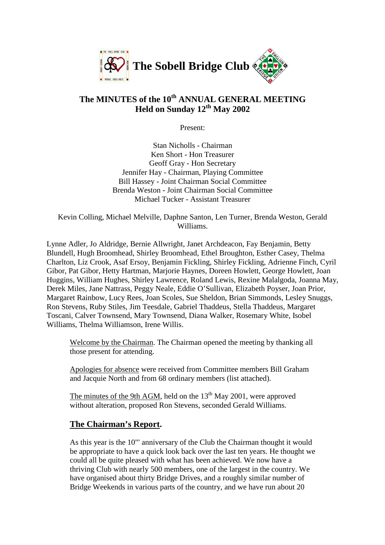

# **The MINUTES of the 10th ANNUAL GENERAL MEETING Held on Sunday 12th May 2002**

Present:

Stan Nicholls - Chairman Ken Short - Hon Treasurer Geoff Gray - Hon Secretary Jennifer Hay - Chairman, Playing Committee Bill Hassey - Joint Chairman Social Committee Brenda Weston - Joint Chairman Social Committee Michael Tucker - Assistant Treasurer

Kevin Colling, Michael Melville, Daphne Santon, Len Turner, Brenda Weston, Gerald Williams.

Lynne Adler, Jo Aldridge, Bernie Allwright, Janet Archdeacon, Fay Benjamin, Betty Blundell, Hugh Broomhead, Shirley Broomhead, Ethel Broughton, Esther Casey, Thelma Charlton, Liz Crook, Asaf Ersoy, Benjamin Fickling, Shirley Fickling, Adrienne Finch, Cyril Gibor, Pat Gibor, Hetty Hartman, Marjorie Haynes, Doreen Howlett, George Howlett, Joan Huggins, William Hughes, Shirley Lawrence, Roland Lewis, Rexine Malalgoda, Joanna May, Derek Miles, Jane Nattrass, Peggy Neale, Eddie O'Sullivan, Elizabeth Poyser, Joan Prior, Margaret Rainbow, Lucy Rees, Joan Scoles, Sue Sheldon, Brian Simmonds, Lesley Snuggs, Ron Stevens, Ruby Stiles, Jim Teesdale, Gabriel Thaddeus, Stella Thaddeus, Margaret Toscani, Calver Townsend, Mary Townsend, Diana Walker, Rosemary White, Isobel Williams, Thelma Williamson, Irene Willis.

Welcome by the Chairman. The Chairman opened the meeting by thanking all those present for attending.

Apologies for absence were received from Committee members Bill Graham and Jacquie North and from 68 ordinary members (list attached).

The minutes of the 9th AGM, held on the  $13<sup>th</sup>$  May 2001, were approved without alteration, proposed Ron Stevens, seconded Gerald Williams.

# **The Chairman's Report.**

As this year is the 10"' anniversary of the Club the Chairman thought it would be appropriate to have a quick look back over the last ten years. He thought we could all be quite pleased with what has been achieved. We now have a thriving Club with nearly 500 members, one of the largest in the country. We have organised about thirty Bridge Drives, and a roughly similar number of Bridge Weekends in various parts of the country, and we have run about 20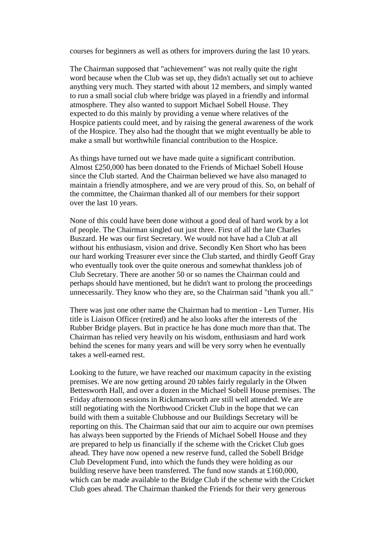courses for beginners as well as others for improvers during the last 10 years.

The Chairman supposed that "achievement" was not really quite the right word because when the Club was set up, they didn't actually set out to achieve anything very much. They started with about 12 members, and simply wanted to run a small social club where bridge was played in a friendly and informal atmosphere. They also wanted to support Michael Sobell House. They expected to do this mainly by providing a venue where relatives of the Hospice patients could meet, and by raising the general awareness of the work of the Hospice. They also had the thought that we might eventually be able to make a small but worthwhile financial contribution to the Hospice.

As things have turned out we have made quite a significant contribution. Almost £250,000 has been donated to the Friends of Michael Sobell House since the Club started. And the Chairman believed we have also managed to maintain a friendly atmosphere, and we are very proud of this. So, on behalf of the committee, the Chairman thanked all of our members for their support over the last 10 years.

None of this could have been done without a good deal of hard work by a lot of people. The Chairman singled out just three. First of all the late Charles Buszard. He was our first Secretary. We would not have had a Club at all without his enthusiasm, vision and drive. Secondly Ken Short who has been our hard working Treasurer ever since the Club started, and thirdly Geoff Gray who eventually took over the quite onerous and somewhat thankless job of Club Secretary. There are another 50 or so names the Chairman could and perhaps should have mentioned, but he didn't want to prolong the proceedings unnecessarily. They know who they are, so the Chairman said "thank you all."

There was just one other name the Chairman had to mention - Len Turner. His title is Liaison Officer (retired) and he also looks after the interests of the Rubber Bridge players. But in practice he has done much more than that. The Chairman has relied very heavily on his wisdom, enthusiasm and hard work behind the scenes for many years and will be very sorry when he eventually takes a well-earned rest.

Looking to the future, we have reached our maximum capacity in the existing premises. We are now getting around 20 tables fairly regularly in the Olwen Bettesworth Hall, and over a dozen in the Michael Sobell House premises. The Friday afternoon sessions in Rickmansworth are still well attended. We are still negotiating with the Northwood Cricket Club in the hope that we can build with them a suitable Clubhouse and our Buildings Secretary will be reporting on this. The Chairman said that our aim to acquire our own premises has always been supported by the Friends of Michael Sobell House and they are prepared to help us financially if the scheme with the Cricket Club goes ahead. They have now opened a new reserve fund, called the Sobell Bridge Club Development Fund, into which the funds they were holding as our building reserve have been transferred. The fund now stands at £160,000, which can be made available to the Bridge Club if the scheme with the Cricket Club goes ahead. The Chairman thanked the Friends for their very generous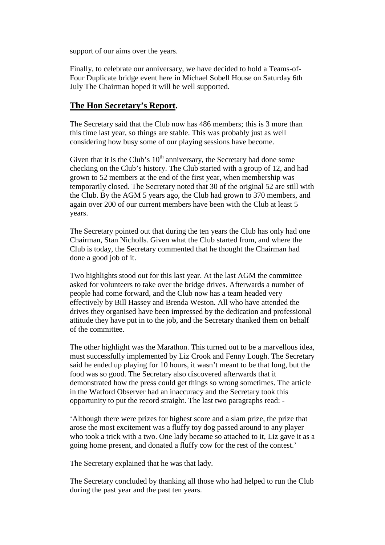support of our aims over the years.

Finally, to celebrate our anniversary, we have decided to hold a Teams-of-Four Duplicate bridge event here in Michael Sobell House on Saturday 6th July The Chairman hoped it will be well supported.

### **The Hon Secretary's Report.**

The Secretary said that the Club now has 486 members; this is 3 more than this time last year, so things are stable. This was probably just as well considering how busy some of our playing sessions have become.

Given that it is the Club's  $10<sup>th</sup>$  anniversary, the Secretary had done some checking on the Club's history. The Club started with a group of 12, and had grown to 52 members at the end of the first year, when membership was temporarily closed. The Secretary noted that 30 of the original 52 are still with the Club. By the AGM 5 years ago, the Club had grown to 370 members, and again over 200 of our current members have been with the Club at least 5 years.

The Secretary pointed out that during the ten years the Club has only had one Chairman, Stan Nicholls. Given what the Club started from, and where the Club is today, the Secretary commented that he thought the Chairman had done a good job of it.

Two highlights stood out for this last year. At the last AGM the committee asked for volunteers to take over the bridge drives. Afterwards a number of people had come forward, and the Club now has a team headed very effectively by Bill Hassey and Brenda Weston. All who have attended the drives they organised have been impressed by the dedication and professional attitude they have put in to the job, and the Secretary thanked them on behalf of the committee.

The other highlight was the Marathon. This turned out to be a marvellous idea, must successfully implemented by Liz Crook and Fenny Lough. The Secretary said he ended up playing for 10 hours, it wasn't meant to be that long, but the food was so good. The Secretary also discovered afterwards that it demonstrated how the press could get things so wrong sometimes. The article in the Watford Observer had an inaccuracy and the Secretary took this opportunity to put the record straight. The last two paragraphs read: -

'Although there were prizes for highest score and a slam prize, the prize that arose the most excitement was a fluffy toy dog passed around to any player who took a trick with a two. One lady became so attached to it, Liz gave it as a going home present, and donated a fluffy cow for the rest of the contest.'

The Secretary explained that he was that lady.

The Secretary concluded by thanking all those who had helped to run the Club during the past year and the past ten years.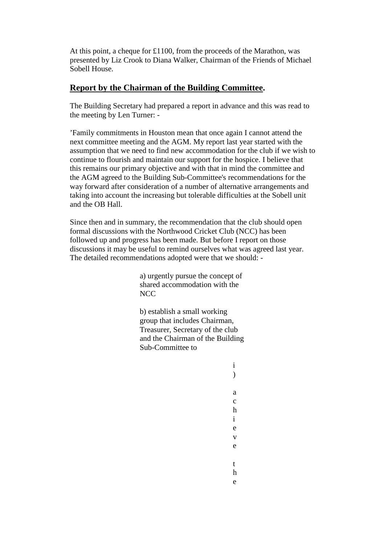At this point, a cheque for £1100, from the proceeds of the Marathon, was presented by Liz Crook to Diana Walker, Chairman of the Friends of Michael Sobell House.

### **Report by the Chairman of the Building Committee.**

The Building Secretary had prepared a report in advance and this was read to the meeting by Len Turner: -

'Family commitments in Houston mean that once again I cannot attend the next committee meeting and the AGM. My report last year started with the assumption that we need to find new accommodation for the club if we wish to continue to flourish and maintain our support for the hospice. I believe that this remains our primary objective and with that in mind the committee and the AGM agreed to the Building Sub-Committee's recommendations for the way forward after consideration of a number of alternative arrangements and taking into account the increasing but tolerable difficulties at the Sobell unit and the OB Hall.

Since then and in summary, the recommendation that the club should open formal discussions with the Northwood Cricket Club (NCC) has been followed up and progress has been made. But before I report on those discussions it may be useful to remind ourselves what was agreed last year. The detailed recommendations adopted were that we should: -

> a) urgently pursue the concept of shared accommodation with the **NCC**

b) establish a small working group that includes Chairman, Treasurer, Secretary of the club and the Chairman of the Building Sub-Committee to

> i  $\lambda$

a c h i e v e

t h e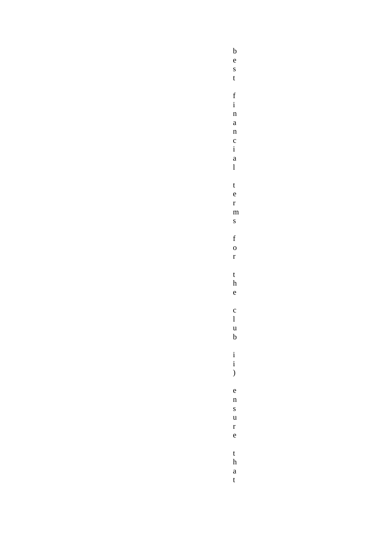$\begin{array}{c} b \\ e \end{array}$  $\overline{s}$  $\mathbf{t}$  $\frac{f}{i}$  $\mathbf{n}$  $\mathbf{a}$  $\frac{n}{c}$  $\frac{1}{i}$  $\bf{l}$  $\mathbf{t}$  $\mathbf{e}$  $\mathbf{r}$  $\mathbf{m}$  $\mathbf{s}$  $\mathbf f$  $\overline{0}$  $\mathbf{r}$  $\mathbf{t}$  $\frac{h}{e}$  $\frac{c}{1}$  $\begin{matrix} u \\ b \end{matrix}$  $\begin{pmatrix} i \\ i \end{pmatrix}$  $\rm e$  $\mathbf{n}$  $\mathbf{s}$  $\mathbf{u}$  $\mathbf{r}$  $\mathbf{e}$  $\frac{t}{h}$  $\mathbf{a}$ 

 $\mathbf{t}$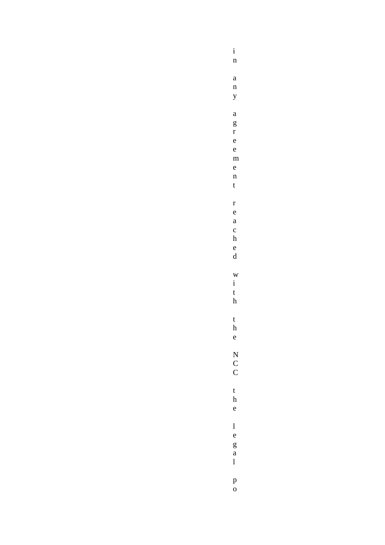$\frac{i}{n}$  $\mathbf{a}$  $\mathbf{n}$  $\mathbf{y}$  $\mathbf{a}$  $\begin{array}{c} g \\ r \\ e \end{array}$  $\mathbf{e}$  $\mathbf{m}$  $\mathbf{e}$  $\mathbf{n}$  $\mathfrak{t}$  $\mathbf{r}$  $\mathbf{e}$  $\mathbf{a}$  $\frac{c}{h}$  $\frac{e}{d}$  $\mathbf{W}$  $\frac{1}{t}$  $\boldsymbol{\rm h}$  $\frac{t}{h}$  $\begin{array}{c} \text{N} \\ \text{C} \\ \text{C} \end{array}$  $\mathbf{t}$  $\frac{1}{e}$  $\frac{1}{e}$  $\begin{bmatrix} g \\ a \\ 1 \end{bmatrix}$  $\begin{matrix} p \\ o \end{matrix}$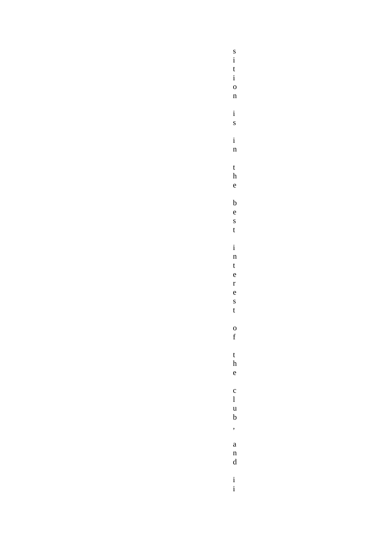$\frac{s}{i}$  $\mathbf{t}$  $\mathbf{i}$  $\mathbf{o}$  $\mathbf{n}$  $\mathbf{i}$  $\mathbf{s}$  $\mathbf{i}$  $\mathbf{n}$  $\frac{t}{h}$  $\mathbf{e}$  $\mathbf b$  $\ddot{e}$  $\mathbf{s}$  $\mathbf{t}$  $\mathbf{i}$  $\frac{1}{n}$  $\mathbf{t}$  $\frac{1}{e}$  $\frac{r}{e}$  $\frac{s}{t}$  $\frac{0}{f}$  $\mathbf{t}$  $\frac{\hbar}{e}$  $\begin{array}{c} c \\ l \\ u \\ b \end{array}$  $\overline{\phantom{a}}$  $\mathbf{a}$  $\begin{matrix} n \\ d \end{matrix}$  $\frac{i}{i}$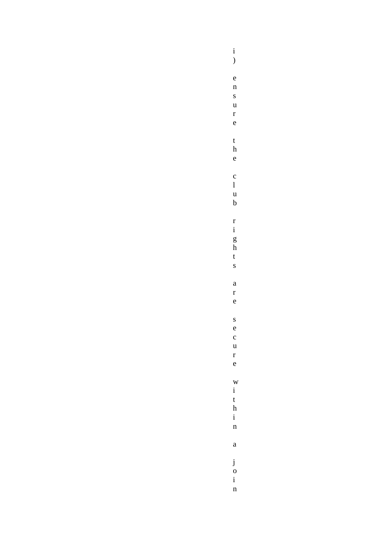$\begin{matrix} i \\ j \end{matrix}$  $\mathbf{e}$  $\frac{n}{s}$  $\frac{u}{r}$  $\mathbf{e}$  $\mathbf{t}$  $\frac{1}{e}$  $\begin{array}{c} c \\ l \\ u \\ b \end{array}$  $\begin{array}{c} r\\ i\\ g\\ h\\ t \end{array}$  $\mathbf{s}$  $\mathbf{a}$  $\mathbf{r}$  $\rm e$  $\mathbf{s}$  $\frac{e}{c}$  $\mathbf{u}$  $\frac{r}{e}$  $\frac{w}{i}$  $\begin{array}{c}\nt \\
h \\
i \\
n\n\end{array}$  $\mathbf{a}$ 

 $\begin{array}{c} j \\ o \end{array}$ 

 $\frac{1}{n}$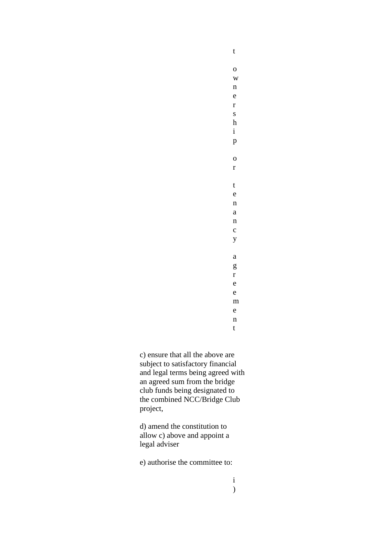w n e r s h i p o r t e n a n c y a g r e e m e n t

t

o

c) ensure that all the above are subject to satisfactory financial and legal terms being agreed with an agreed sum from the bridge club funds being designated to the combined NCC/Bridge Club project,

d) amend the constitution to allow c) above and appoint a legal adviser

e) authorise the committee to: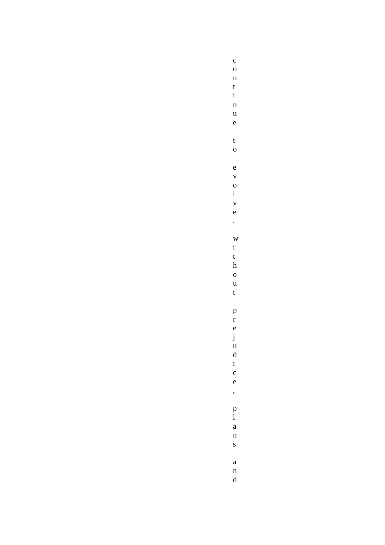$\mathbf c$  $\mathbf{o}$  $\mathbf{n}$  $\frac{t}{i}$  $\mathbf{n}$  $\mathbf{u}$  $\rm e$  $\mathbf{t}$  $\overline{O}$  $\mathbf{e}$  $\bar{v}$  $\frac{0}{1}$  $\bar{\mathbf{v}}$  $\rm e$ ,  $\overline{W}$  $\mathbf{i}$  $\mathbf{t}$  $\boldsymbol{\textbf{h}}$  $\overline{0}$  $\begin{array}{c} u \\ t \end{array}$ prejud  $\frac{1}{i}$  $\frac{1}{e}$  $\overline{\phantom{a}}$  $\begin{matrix} p \\ l \end{matrix}$  $\mathbf{a}$  $\mathbf{n}$  $\mathbf{s}$  $\begin{array}{c} \mathbf{a} \\ \mathbf{n} \\ \mathbf{d} \end{array}$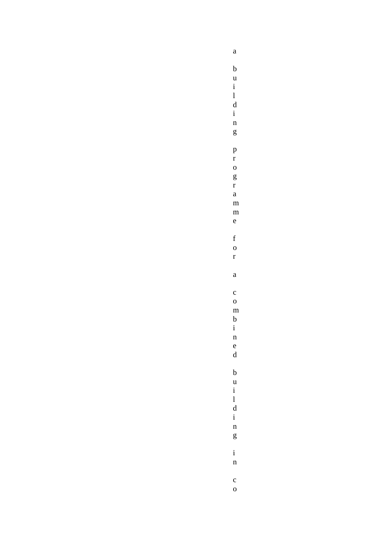$\mathbf{a}$  $\mathbf b$  $\mathbf{u}$  $\begin{array}{c} \text{i} \\ \text{l} \\ \text{d} \\ \text{i} \end{array}$  $\mathbf{n}$  $\mathbf{g}$  $\frac{p}{r}$  $\mathbf{o}$  $\frac{g}{r}$  $\mathbf{a}$  $m$  $\mathbf{m}$  $\mathbf{e}$  $\mathbf f$  $\overline{O}$  $\mathbf{r}$  $\mathbf{a}$  $\mathbf{c}$  $\mathbf{o}$  $\mathbf{m}$  $\mathbf b$  $\mathbf{i}$  $\mathbf{n}$  $\frac{e}{d}$  $\mathbf b$  $\overline{u}$  $\mathbf{i}$  $\begin{array}{c} 1 \\ d \end{array}$  $\mathbf{i}$  $\mathbf{n}$  $\mathbf{g}$  $\mathbf{i}$  $\mathbf{n}$  $\mathbf c$  $\overline{0}$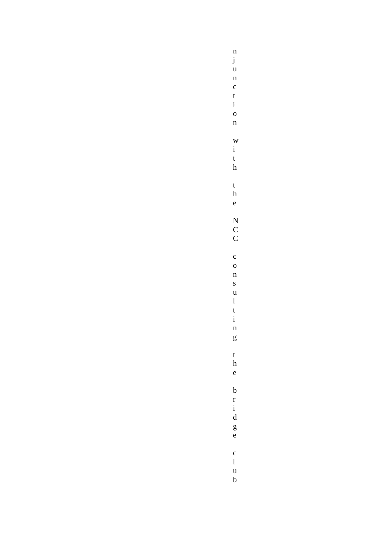$\mathbf{n}$  $\begin{array}{c} j \\ u \end{array}$  $\mathbf{n}$  $\frac{c}{t}$  $\mathbf{i}$  $\overline{0}$  $\mathbf n$  $\overline{W}$  $\overline{i}$  $\mathbf{t}$  $\boldsymbol{\rm h}$  $\frac{t}{h}$  $\mathbf{e}$  $\begin{array}{c} \text{N} \\ \text{C} \\ \text{C} \end{array}$  $\mathbf c$  $\mathbf{o}$  $\mathbf n$  $\mathbf{s}$  $\mathbf{u}$  $\bf{l}$  $\mathbf{t}$  $\mathbf{i}$  $\mathbf{n}$  $\mathbf{g}$  $\mathbf{t}$  $\boldsymbol{\textbf{h}}$  $\mathbf{e}$  $\begin{array}{c} b \\ r \\ i \\ d \end{array}$  $\frac{g}{e}$  $\begin{array}{c} c \\ l \\ u \\ b \end{array}$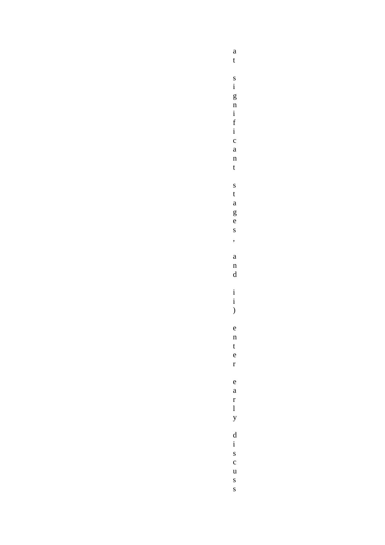$\mathbf{a}$  $\mathbf{t}$  $\begin{array}{c}\ns\\ \n1\\ \n2\\ \nn\\ \n3\\ \n4\\ \n5\\ \nn\\ \n5\\ \n6\\ \n1\n\end{array}$  $\overline{c}$  $\begin{array}{c}\n a \\
 n\n \end{array}$  $\mathbf t$  $\mathbf S$  $\mathbf{t}$  $\mathbf{a}$  $\frac{g}{e}$  $\mathbf{s}$  $\overline{\phantom{a}}$  $\mathbf{a}$  $\mathbf{n}$  $\mathbf d$  $\begin{pmatrix} i \\ i \end{pmatrix}$  $\rm e$  $\mathbf{n}$  $\mathbf{t}$  $\mathbf{e}$  $\mathbf{r}$  $\rm e$  $\mathbf{a}$  $\mathbf{r}$  $\mathbf{1}$  $\mathbf{y}$  $\displaystyle\frac{\rm d}{{\rm i}}$  $\frac{s}{c}$  $\mathbf u$  $\frac{s}{s}$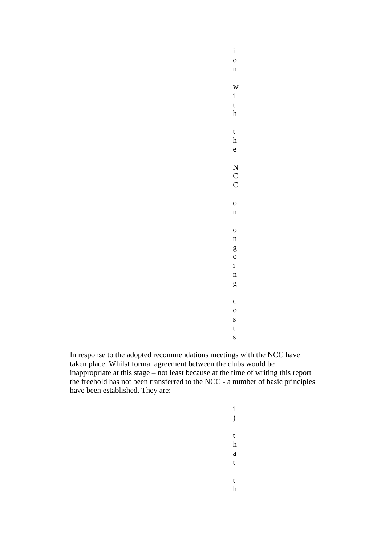i o n w i t h t h e N C C o n o n g o i n g c o s t s

In response to the adopted recommendations meetings with the NCC have taken place. Whilst formal agreement between the clubs would be inappropriate at this stage – not least because at the time of writing this report the freehold has not been transferred to the NCC - a number of basic principles have been established. They are: -

> i  $\mathcal{L}$ t h a t t

h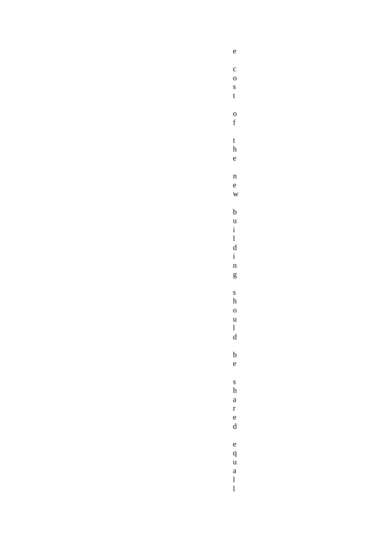$\rm e$  $\mathbf{c}$  $\mathbf{o}$  $\mathbf{s}$  $\mathbf{t}$  $\frac{0}{f}$  $\mathbf{t}$  $\frac{1}{e}$  $\mathbf{n}$ 

 $\mathbf{e}$  $\overline{W}$ 

 $\boldsymbol{\rm h}$  $\overline{0}$ 

 $\begin{array}{c} u \\ l \\ d \end{array}$ 

 $\begin{array}{c} b \\ u \\ i \\ l \\ d \end{array}$  $\frac{1}{i}$  $\mathbf{n}$  $\mathbf{g}$  $\mathbf{s}$ 

 $\begin{array}{c} b \\ e \end{array}$  $\mathbf{s}$  $\boldsymbol{\textbf{h}}$ 

 $\mathbf{a}$ r<br>e<br>d  $\mathbf{e}$ 

 $\begin{array}{c} \mathbf{q} \\ \mathbf{u} \\ \mathbf{a} \end{array}$  $\begin{bmatrix} 1 \\ 1 \end{bmatrix}$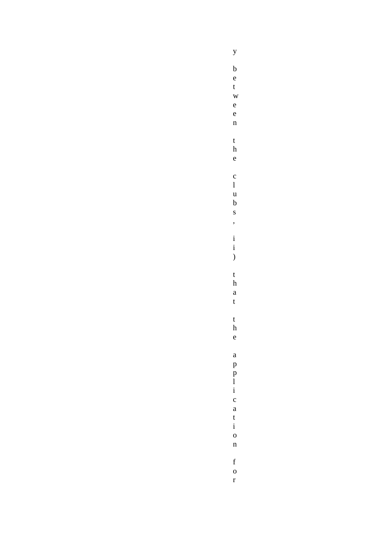$\mathbf{y}$  $\begin{array}{c} b \\ e \end{array}$  $\frac{t}{w}$  $\frac{e}{e}$  $\mathbf n$  $\mathbf{t}$  $\frac{1}{e}$  $\begin{array}{c} c \\ l \\ u \\ b \end{array}$ 

 $\overline{\mathbf{s}}$ ,

 $\begin{pmatrix} i \\ i \end{pmatrix}$ 

 $\mathbf{t}$ 

 $\frac{h}{a}$ 

 $\mathbf{t}$ 

 $\frac{t}{h}$ 

 $\mathbf{e}$ 

 $\begin{array}{c} \mathbf{a} \\ \mathbf{p} \\ \mathbf{p} \\ \mathbf{i} \end{array}$ 

 $\begin{array}{c} c \\ a \\ t \\ i \\ o \end{array}$ 

 $\mathbf{n}$ 

 $\begin{array}{c} f \\ o \\ r \end{array}$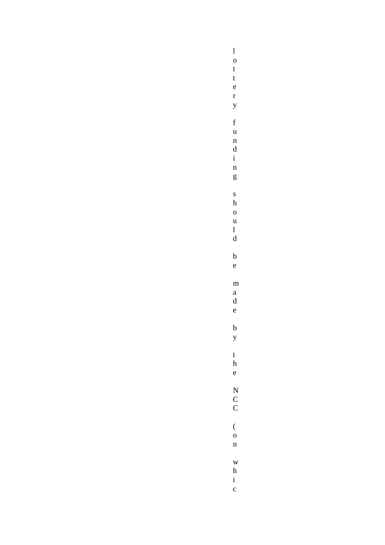m<br>a<br>d<br>e  $\begin{array}{c} \text{N} \\ \text{C} \\ \text{C} \end{array}$ 

 $\begin{array}{c} 1 \\ o \\ t \\ t \end{array}$  $\frac{e}{r}$  $\mathbf{y}$  $\begin{array}{c} f\\ u\\ n\\ d\\ i \end{array}$  $\frac{1}{g}$  $\frac{s}{h}$  $\begin{array}{c} 0 \\ u \\ l \\ d \end{array}$  $\frac{b}{e}$  $\frac{b}{y}$  $\mathbf{t}$  $\frac{1}{e}$  $\begin{array}{c} ( \\ 0 \end{array}$  $\mathbf{n}$  $_{\rm h}^{\rm w}$  $\frac{1}{c}$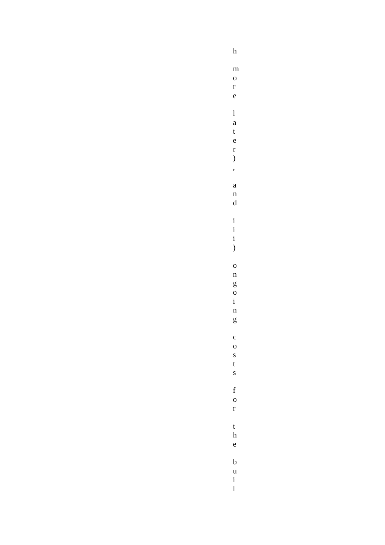$\mathbf h$  $\mathbf{m}$  $\overline{0}$  $\mathbf{r}$  $\mathbf{e}$  $\overline{1}$  $\mathbf{a}$  $\frac{t}{e}$  $\mathbf{r}$  $\overline{\phantom{a}}$  $\overline{\phantom{a}}$  $\mathbf{a}$  $\begin{matrix} n \\ d \end{matrix}$  $\begin{array}{c} \begin{array}{c} \begin{array}{c} \begin{array}{c} \end{array}\\ \begin{array}{c} \end{array}\\ \begin{array}{c} \end{array}\\ \begin{array}{c} \end{array}\\ \begin{array}{c} \end{array}\\ \begin{array}{c} \end{array}\\ \begin{array}{c} \end{array}\\ \begin{array}{c} \end{array}\\ \begin{array}{c} \end{array}\\ \begin{array}{c} \end{array}\\ \begin{array}{c} \end{array}\\ \begin{array}{c} \end{array}\\ \begin{array}{c} \end{array}\\ \begin{array}{c} \end{array}\\ \begin{array}{c} \end{array}\\ \begin{array}{c} \end{array}\\ \begin{array}{c}$  $\big)$  $\overline{O}$  $\mathbf{n}$  $\begin{array}{c}\n\mathbf{g} \\
\mathbf{o} \\
\mathbf{i}\n\end{array}$  $\mathbf{n}$  $\mathbf{g}$  $\mathbf{c}$  $\overline{O}$  $\mathbf S$  $\mathbf{t}$  $\mathbf{s}$  $\mathbf f$  $\mathbf{o}$  $\mathbf{r}$  $\mathbf{t}$  $\boldsymbol{\rm h}$  $\mathbf{e}$  $\frac{b}{u}$  $\frac{1}{1}$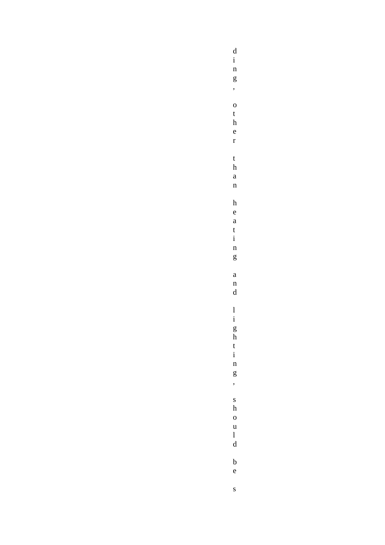$\begin{matrix} d \\ i \end{matrix}$ 

 $\frac{1}{n}$  $\mathbf{g}$  $\overline{\phantom{a}}$  $\overline{O}$  $\mathbf{t}$  $\boldsymbol{\rm h}$  $\frac{e}{r}$  $\mathbf{t}$  $\boldsymbol{\textbf{h}}$  $\mathbf{a}$  $\mathbf{n}$  $\mathbf h$  $\mathbf{e}$  $\mathbf{a}$  $\frac{t}{i}$  $\mathbf{n}$  $\mathbf{g}% _{T}=\mathbf{g}_{T}=\mathbf{g}_{T}=\mathbf{g}_{T}=\mathbf{g}_{T}=\mathbf{g}_{T}=\mathbf{g}_{T}=\mathbf{g}_{T}=\mathbf{g}_{T}=\mathbf{g}_{T}=\mathbf{g}_{T}=\mathbf{g}_{T}=\mathbf{g}_{T}=\mathbf{g}_{T}=\mathbf{g}_{T}=\mathbf{g}_{T}=\mathbf{g}_{T}=\mathbf{g}_{T}=\mathbf{g}_{T}=\mathbf{g}_{T}=\mathbf{g}_{T}=\mathbf{g}_{T}=\mathbf{g}_{T}=\mathbf{g}_{T}=\mathbf{g}_{T}=\mathbf{g}_{T}=\mathbf{g}_{T}=\math$  $\mathbf{a}$  $\frac{n}{d}$  $\frac{1}{i}$  g h  $\frac{t}{i}$  $\frac{1}{n}$  $\frac{g}{\sigma}$  $\mathbf{s}$  $\boldsymbol{\textbf{h}}$  $\begin{matrix} 0 \\ u \end{matrix}$  $\begin{array}{c} 1 \\ d \end{array}$  $\frac{b}{e}$  $\mathbf{s}$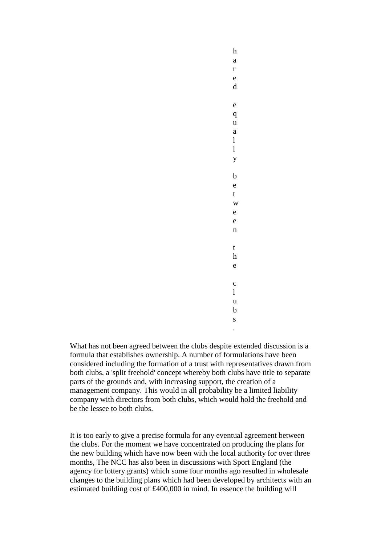h a r e d e q u a l l y b e t w e e n t h e c l u b s .

What has not been agreed between the clubs despite extended discussion is a formula that establishes ownership. A number of formulations have been considered including the formation of a trust with representatives drawn from both clubs, a 'split freehold' concept whereby both clubs have title to separate parts of the grounds and, with increasing support, the creation of a management company. This would in all probability be a limited liability company with directors from both clubs, which would hold the freehold and be the lessee to both clubs.

It is too early to give a precise formula for any eventual agreement between the clubs. For the moment we have concentrated on producing the plans for the new building which have now been with the local authority for over three months, The NCC has also been in discussions with Sport England (the agency for lottery grants) which some four months ago resulted in wholesale changes to the building plans which had been developed by architects with an estimated building cost of £400,000 in mind. In essence the building will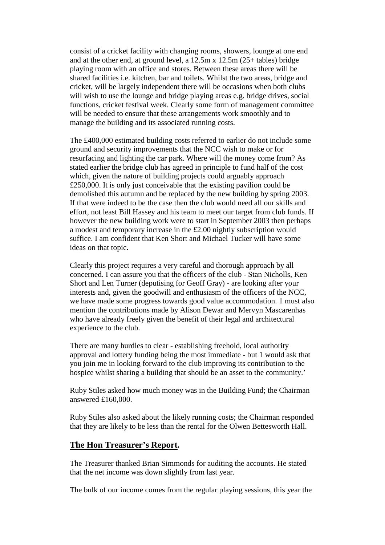consist of a cricket facility with changing rooms, showers, lounge at one end and at the other end, at ground level, a  $12.5m \times 12.5m (25+)$  tables) bridge playing room with an office and stores. Between these areas there will be shared facilities i.e. kitchen, bar and toilets. Whilst the two areas, bridge and cricket, will be largely independent there will be occasions when both clubs will wish to use the lounge and bridge playing areas e.g. bridge drives, social functions, cricket festival week. Clearly some form of management committee will be needed to ensure that these arrangements work smoothly and to manage the building and its associated running costs.

The £400,000 estimated building costs referred to earlier do not include some ground and security improvements that the NCC wish to make or for resurfacing and lighting the car park. Where will the money come from? As stated earlier the bridge club has agreed in principle to fund half of the cost which, given the nature of building projects could arguably approach £250,000. It is only just conceivable that the existing pavilion could be demolished this autumn and be replaced by the new building by spring 2003. If that were indeed to be the case then the club would need all our skills and effort, not least Bill Hassey and his team to meet our target from club funds. If however the new building work were to start in September 2003 then perhaps a modest and temporary increase in the £2.00 nightly subscription would suffice. I am confident that Ken Short and Michael Tucker will have some ideas on that topic.

Clearly this project requires a very careful and thorough approach by all concerned. I can assure you that the officers of the club - Stan Nicholls, Ken Short and Len Turner (deputising for Geoff Gray) - are looking after your interests and, given the goodwill and enthusiasm of the officers of the NCC, we have made some progress towards good value accommodation. 1 must also mention the contributions made by Alison Dewar and Mervyn Mascarenhas who have already freely given the benefit of their legal and architectural experience to the club.

There are many hurdles to clear - establishing freehold, local authority approval and lottery funding being the most immediate - but 1 would ask that you join me in looking forward to the club improving its contribution to the hospice whilst sharing a building that should be an asset to the community.'

Ruby Stiles asked how much money was in the Building Fund; the Chairman answered £160,000.

Ruby Stiles also asked about the likely running costs; the Chairman responded that they are likely to be less than the rental for the Olwen Bettesworth Hall.

#### **The Hon Treasurer's Report.**

The Treasurer thanked Brian Simmonds for auditing the accounts. He stated that the net income was down slightly from last year.

The bulk of our income comes from the regular playing sessions, this year the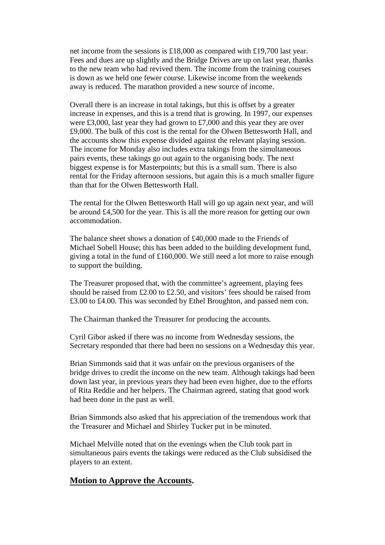net income from the sessions is £18,000 as compared with £19,700 last year. Fees and dues are up slightly and the Bridge Drives are up on last year, thanks to the new team who had revived them. The income from the training courses is down as we held one fewer course. Likewise income from the weekends away is reduced. The marathon provided a new source of income.

Overall there is an increase in total takings, but this is offset by a greater increase in expenses, and this is a trend that is growing. In 1997, our expenses were £3,000, last year they had grown to £7,000 and this year they are over £9,000. The bulk of this cost is the rental for the Olwen Bettesworth Hall, and the accounts show this expense divided against the relevant playing session. The income for Monday also includes extra takings from the simultaneous pairs events, these takings go out again to the organising body. The next biggest expense is for Masterpoints; but this is a small sum. There is also rental for the Friday afternoon sessions, but again this is a much smaller figure than that for the Olwen Bettesworth Hall.

The rental for the Olwen Bettesworth Hall will go up again next year, and will be around £4,500 for the year. This is all the more reason for getting our own accommodation.

The balance sheet shows a donation of £40,000 made to the Friends of Michael Sobell House; this has been added to the building development fund, giving a total in the fund of £160,000. We still need a lot more to raise enough to support the building.

The Treasurer proposed that, with the committee's agreement, playing fees should be raised from £2.00 to £2.50, and visitors' fees should be raised from £3.00 to £4.00. This was seconded by Ethel Broughton, and passed nem con.

The Chairman thanked the Treasurer for producing the accounts.

Cyril Gibor asked if there was no income from Wednesday sessions, the Secretary responded that there had been no sessions on a Wednesday this year.

Brian Simmonds said that it was unfair on the previous organisers of the bridge drives to credit the income on the new team. Although takings had been down last year, in previous years they had been even higher, due to the efforts of Rita Reddie and her helpers. The Chairman agreed, stating that good work had been done in the past as well.

Brian Simmonds also asked that his appreciation of the tremendous work that the Treasurer and Michael and Shirley Tucker put in be minuted.

Michael Melville noted that on the evenings when the Club took part in simultaneous pairs events the takings were reduced as the Club subsidised the players to an extent.

#### **Motion to Approve the Accounts.**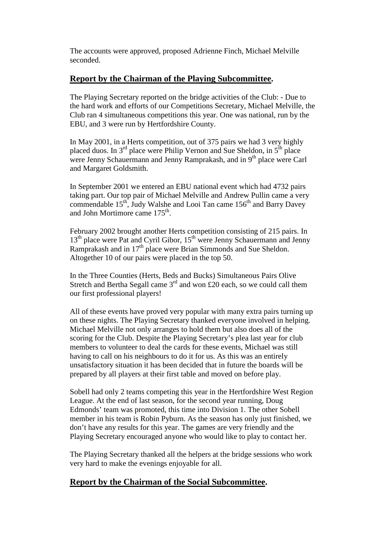The accounts were approved, proposed Adrienne Finch, Michael Melville seconded.

### **Report by the Chairman of the Playing Subcommittee.**

The Playing Secretary reported on the bridge activities of the Club: - Due to the hard work and efforts of our Competitions Secretary, Michael Melville, the Club ran 4 simultaneous competitions this year. One was national, run by the EBU, and 3 were run by Hertfordshire County.

In May 2001, in a Herts competition, out of 375 pairs we had 3 very highly placed duos. In  $3<sup>rd</sup>$  place were Philip Vernon and Sue Sheldon, in  $5<sup>th</sup>$  place were Jenny Schauermann and Jenny Ramprakash, and in 9<sup>th</sup> place were Carl and Margaret Goldsmith.

In September 2001 we entered an EBU national event which had 4732 pairs taking part. Our top pair of Michael Melville and Andrew Pullin came a very commendable 15<sup>th</sup>, Judy Walshe and Looi Tan came 156<sup>th</sup> and Barry Davey and John Mortimore came 175<sup>th</sup>.

February 2002 brought another Herts competition consisting of 215 pairs. In 13<sup>th</sup> place were Pat and Cyril Gibor, 15<sup>th</sup> were Jenny Schauermann and Jenny Ramprakash and in 17th place were Brian Simmonds and Sue Sheldon. Altogether 10 of our pairs were placed in the top 50.

In the Three Counties (Herts, Beds and Bucks) Simultaneous Pairs Olive Stretch and Bertha Segall came  $3<sup>rd</sup>$  and won £20 each, so we could call them our first professional players!

All of these events have proved very popular with many extra pairs turning up on these nights. The Playing Secretary thanked everyone involved in helping. Michael Melville not only arranges to hold them but also does all of the scoring for the Club. Despite the Playing Secretary's plea last year for club members to volunteer to deal the cards for these events, Michael was still having to call on his neighbours to do it for us. As this was an entirely unsatisfactory situation it has been decided that in future the boards will be prepared by all players at their first table and moved on before play.

Sobell had only 2 teams competing this year in the Hertfordshire West Region League. At the end of last season, for the second year running, Doug Edmonds' team was promoted, this time into Division 1. The other Sobell member in his team is Robin Pyburn. As the season has only just finished, we don't have any results for this year. The games are very friendly and the Playing Secretary encouraged anyone who would like to play to contact her.

The Playing Secretary thanked all the helpers at the bridge sessions who work very hard to make the evenings enjoyable for all.

# **Report by the Chairman of the Social Subcommittee.**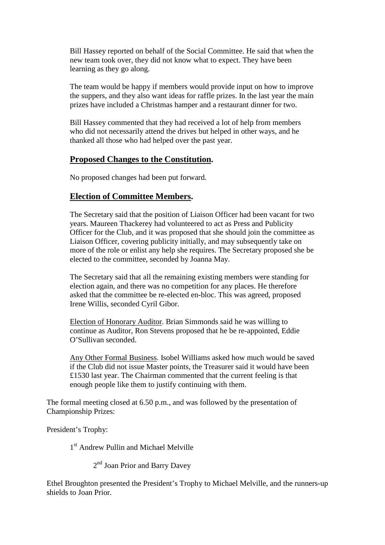Bill Hassey reported on behalf of the Social Committee. He said that when the new team took over, they did not know what to expect. They have been learning as they go along.

The team would be happy if members would provide input on how to improve the suppers, and they also want ideas for raffle prizes. In the last year the main prizes have included a Christmas hamper and a restaurant dinner for two.

Bill Hassey commented that they had received a lot of help from members who did not necessarily attend the drives but helped in other ways, and he thanked all those who had helped over the past year.

### **Proposed Changes to the Constitution.**

No proposed changes had been put forward.

# **Election of Committee Members.**

The Secretary said that the position of Liaison Officer had been vacant for two years. Maureen Thackerey had volunteered to act as Press and Publicity Officer for the Club, and it was proposed that she should join the committee as Liaison Officer, covering publicity initially, and may subsequently take on more of the role or enlist any help she requires. The Secretary proposed she be elected to the committee, seconded by Joanna May.

The Secretary said that all the remaining existing members were standing for election again, and there was no competition for any places. He therefore asked that the committee be re-elected en-bloc. This was agreed, proposed Irene Willis, seconded Cyril Gibor.

Election of Honorary Auditor. Brian Simmonds said he was willing to continue as Auditor, Ron Stevens proposed that he be re-appointed, Eddie O'Sullivan seconded.

Any Other Formal Business. Isobel Williams asked how much would be saved if the Club did not issue Master points, the Treasurer said it would have been £1530 last year. The Chairman commented that the current feeling is that enough people like them to justify continuing with them.

The formal meeting closed at 6.50 p.m., and was followed by the presentation of Championship Prizes:

President's Trophy:

1 st Andrew Pullin and Michael Melville

2<sup>nd</sup> Joan Prior and Barry Davey

Ethel Broughton presented the President's Trophy to Michael Melville, and the runners-up shields to Joan Prior.